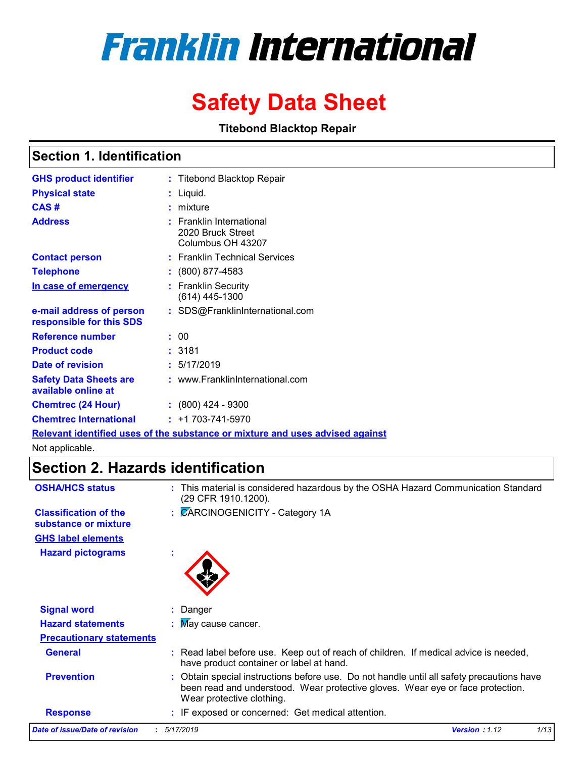# **Franklin International**

## **Safety Data Sheet**

**Titebond Blacktop Repair** 

### **Section 1. Identification**

| <b>GHS product identifier</b>                        | : Titebond Blacktop Repair                                                    |
|------------------------------------------------------|-------------------------------------------------------------------------------|
| <b>Physical state</b>                                | : Liquid.                                                                     |
| CAS#                                                 | : mixture                                                                     |
| <b>Address</b>                                       | $:$ Franklin International<br>2020 Bruck Street<br>Columbus OH 43207          |
| <b>Contact person</b>                                | : Franklin Technical Services                                                 |
| <b>Telephone</b>                                     | $: (800) 877 - 4583$                                                          |
| In case of emergency                                 | : Franklin Security<br>$(614)$ 445-1300                                       |
| e-mail address of person<br>responsible for this SDS | : SDS@FranklinInternational.com                                               |
| <b>Reference number</b>                              | : 00                                                                          |
| <b>Product code</b>                                  | : 3181                                                                        |
| Date of revision                                     | : 5/17/2019                                                                   |
| <b>Safety Data Sheets are</b><br>available online at | : www.FranklinInternational.com                                               |
| <b>Chemtrec (24 Hour)</b>                            | $: (800)$ 424 - 9300                                                          |
| <b>Chemtrec International</b>                        | $: +1703 - 741 - 5970$                                                        |
|                                                      | Relevant identified uses of the substance or mixture and uses advised against |

Not applicable.

### **Section 2. Hazards identification**

| <b>OSHA/HCS status</b>                               | : This material is considered hazardous by the OSHA Hazard Communication Standard<br>(29 CFR 1910.1200).                                                                                                 |               |      |
|------------------------------------------------------|----------------------------------------------------------------------------------------------------------------------------------------------------------------------------------------------------------|---------------|------|
| <b>Classification of the</b><br>substance or mixture | : CARCINOGENICITY - Category 1A                                                                                                                                                                          |               |      |
| <b>GHS label elements</b>                            |                                                                                                                                                                                                          |               |      |
| <b>Hazard pictograms</b>                             | $\mathbf{r}$                                                                                                                                                                                             |               |      |
| <b>Signal word</b>                                   | : Danger                                                                                                                                                                                                 |               |      |
| <b>Hazard statements</b>                             | : May cause cancer.                                                                                                                                                                                      |               |      |
| <b>Precautionary statements</b>                      |                                                                                                                                                                                                          |               |      |
| <b>General</b>                                       | : Read label before use. Keep out of reach of children. If medical advice is needed,<br>have product container or label at hand.                                                                         |               |      |
| <b>Prevention</b>                                    | : Obtain special instructions before use. Do not handle until all safety precautions have<br>been read and understood. Wear protective gloves. Wear eye or face protection.<br>Wear protective clothing. |               |      |
| <b>Response</b>                                      | : IF exposed or concerned: Get medical attention.                                                                                                                                                        |               |      |
| Date of issue/Date of revision                       | 5/17/2019                                                                                                                                                                                                | Version: 1.12 | 1/13 |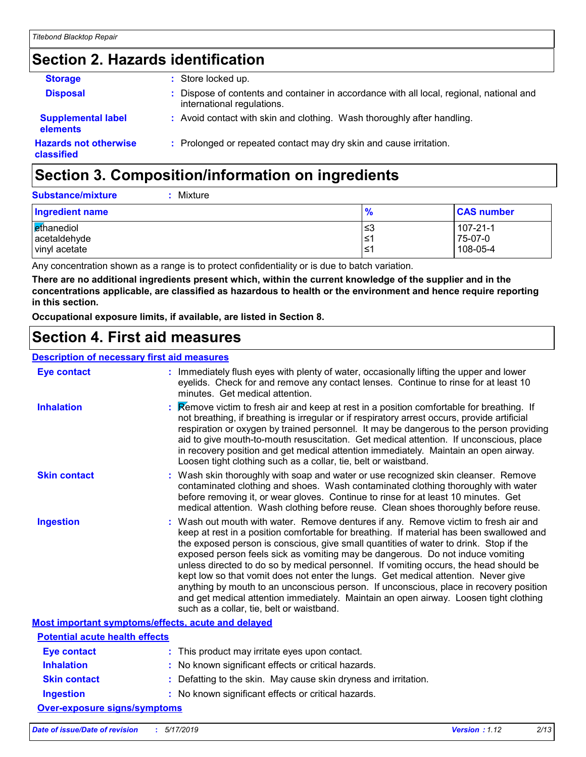### **Section 2. Hazards identification**

| <b>Storage</b>                             | : Store locked up.                                                                                                     |  |
|--------------------------------------------|------------------------------------------------------------------------------------------------------------------------|--|
| <b>Disposal</b>                            | : Dispose of contents and container in accordance with all local, regional, national and<br>international regulations. |  |
| <b>Supplemental label</b><br>elements      | : Avoid contact with skin and clothing. Wash thoroughly after handling.                                                |  |
| <b>Hazards not otherwise</b><br>classified | : Prolonged or repeated contact may dry skin and cause irritation.                                                     |  |

### **Section 3. Composition/information on ingredients**

| <b>Substance/mixture</b><br>Mixture         |                   |                                 |
|---------------------------------------------|-------------------|---------------------------------|
| Ingredient name                             | $\frac{9}{6}$     | <b>CAS number</b>               |
| ethanediol<br>acetaldehyde<br>vinyl acetate | l≤3<br>1≥ا<br>'≥ا | 107-21-1<br>75-07-0<br>108-05-4 |

Any concentration shown as a range is to protect confidentiality or is due to batch variation.

**There are no additional ingredients present which, within the current knowledge of the supplier and in the concentrations applicable, are classified as hazardous to health or the environment and hence require reporting in this section.**

**Occupational exposure limits, if available, are listed in Section 8.**

### **Section 4. First aid measures**

#### **Description of necessary first aid measures**

| <b>Eye contact</b>                                 | : Immediately flush eyes with plenty of water, occasionally lifting the upper and lower<br>eyelids. Check for and remove any contact lenses. Continue to rinse for at least 10<br>minutes. Get medical attention.                                                                                                                                                                                                                                                                                                                                                                                                                                                                                                                                                         |
|----------------------------------------------------|---------------------------------------------------------------------------------------------------------------------------------------------------------------------------------------------------------------------------------------------------------------------------------------------------------------------------------------------------------------------------------------------------------------------------------------------------------------------------------------------------------------------------------------------------------------------------------------------------------------------------------------------------------------------------------------------------------------------------------------------------------------------------|
| <b>Inhalation</b>                                  | <b>Example 3</b> Remove victim to fresh air and keep at rest in a position comfortable for breathing. If<br>not breathing, if breathing is irregular or if respiratory arrest occurs, provide artificial<br>respiration or oxygen by trained personnel. It may be dangerous to the person providing<br>aid to give mouth-to-mouth resuscitation. Get medical attention. If unconscious, place<br>in recovery position and get medical attention immediately. Maintain an open airway.<br>Loosen tight clothing such as a collar, tie, belt or waistband.                                                                                                                                                                                                                  |
| <b>Skin contact</b>                                | : Wash skin thoroughly with soap and water or use recognized skin cleanser. Remove<br>contaminated clothing and shoes. Wash contaminated clothing thoroughly with water<br>before removing it, or wear gloves. Continue to rinse for at least 10 minutes. Get<br>medical attention. Wash clothing before reuse. Clean shoes thoroughly before reuse.                                                                                                                                                                                                                                                                                                                                                                                                                      |
| <b>Ingestion</b>                                   | : Wash out mouth with water. Remove dentures if any. Remove victim to fresh air and<br>keep at rest in a position comfortable for breathing. If material has been swallowed and<br>the exposed person is conscious, give small quantities of water to drink. Stop if the<br>exposed person feels sick as vomiting may be dangerous. Do not induce vomiting<br>unless directed to do so by medical personnel. If vomiting occurs, the head should be<br>kept low so that vomit does not enter the lungs. Get medical attention. Never give<br>anything by mouth to an unconscious person. If unconscious, place in recovery position<br>and get medical attention immediately. Maintain an open airway. Loosen tight clothing<br>such as a collar, tie, belt or waistband. |
| Most important symptoms/effects, acute and delayed |                                                                                                                                                                                                                                                                                                                                                                                                                                                                                                                                                                                                                                                                                                                                                                           |
| <b>Potential acute health effects</b>              |                                                                                                                                                                                                                                                                                                                                                                                                                                                                                                                                                                                                                                                                                                                                                                           |
| Eye contact                                        | : This product may irritate eyes upon contact.                                                                                                                                                                                                                                                                                                                                                                                                                                                                                                                                                                                                                                                                                                                            |
| <b>Inhalation</b>                                  | : No known significant effects or critical hazards.                                                                                                                                                                                                                                                                                                                                                                                                                                                                                                                                                                                                                                                                                                                       |
| <b>Skin contact</b>                                | : Defatting to the skin. May cause skin dryness and irritation.                                                                                                                                                                                                                                                                                                                                                                                                                                                                                                                                                                                                                                                                                                           |
| <b>Ingestion</b>                                   | : No known significant effects or critical hazards.                                                                                                                                                                                                                                                                                                                                                                                                                                                                                                                                                                                                                                                                                                                       |
| <b>Over-exposure signs/symptoms</b>                |                                                                                                                                                                                                                                                                                                                                                                                                                                                                                                                                                                                                                                                                                                                                                                           |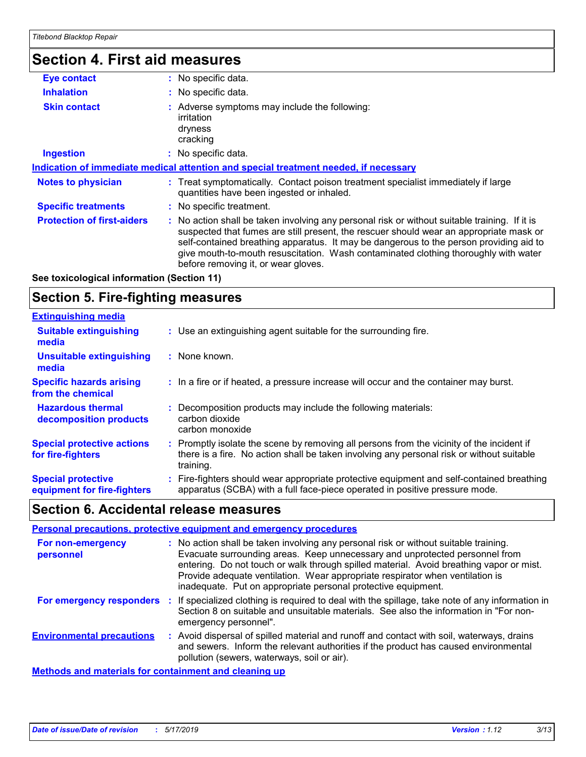### **Section 4. First aid measures**

| <b>Eye contact</b>                | : No specific data.                                                                                                                                                                                                                                                                                                                                                                                             |
|-----------------------------------|-----------------------------------------------------------------------------------------------------------------------------------------------------------------------------------------------------------------------------------------------------------------------------------------------------------------------------------------------------------------------------------------------------------------|
| <b>Inhalation</b>                 | : No specific data.                                                                                                                                                                                                                                                                                                                                                                                             |
| <b>Skin contact</b>               | : Adverse symptoms may include the following:<br>irritation<br>dryness<br>cracking                                                                                                                                                                                                                                                                                                                              |
| <b>Ingestion</b>                  | : No specific data.                                                                                                                                                                                                                                                                                                                                                                                             |
|                                   | Indication of immediate medical attention and special treatment needed, if necessary                                                                                                                                                                                                                                                                                                                            |
| <b>Notes to physician</b>         | : Treat symptomatically. Contact poison treatment specialist immediately if large<br>quantities have been ingested or inhaled.                                                                                                                                                                                                                                                                                  |
| <b>Specific treatments</b>        | : No specific treatment.                                                                                                                                                                                                                                                                                                                                                                                        |
| <b>Protection of first-aiders</b> | : No action shall be taken involving any personal risk or without suitable training. If it is<br>suspected that fumes are still present, the rescuer should wear an appropriate mask or<br>self-contained breathing apparatus. It may be dangerous to the person providing aid to<br>give mouth-to-mouth resuscitation. Wash contaminated clothing thoroughly with water<br>before removing it, or wear gloves. |

#### **See toxicological information (Section 11)**

### **Section 5. Fire-fighting measures**

| <b>Extinguishing media</b>                               |                                                                                                                                                                                                   |
|----------------------------------------------------------|---------------------------------------------------------------------------------------------------------------------------------------------------------------------------------------------------|
| <b>Suitable extinguishing</b><br>media                   | : Use an extinguishing agent suitable for the surrounding fire.                                                                                                                                   |
| <b>Unsuitable extinguishing</b><br>media                 | : None known.                                                                                                                                                                                     |
| <b>Specific hazards arising</b><br>from the chemical     | : In a fire or if heated, a pressure increase will occur and the container may burst.                                                                                                             |
| <b>Hazardous thermal</b><br>decomposition products       | Decomposition products may include the following materials:<br>carbon dioxide<br>carbon monoxide                                                                                                  |
| <b>Special protective actions</b><br>for fire-fighters   | Promptly isolate the scene by removing all persons from the vicinity of the incident if<br>there is a fire. No action shall be taken involving any personal risk or without suitable<br>training. |
| <b>Special protective</b><br>equipment for fire-fighters | : Fire-fighters should wear appropriate protective equipment and self-contained breathing<br>apparatus (SCBA) with a full face-piece operated in positive pressure mode.                          |

### **Section 6. Accidental release measures**

|                                                       |     | Personal precautions, protective equipment and emergency procedures                                                                                                                                                                                                                                                                                                                                              |
|-------------------------------------------------------|-----|------------------------------------------------------------------------------------------------------------------------------------------------------------------------------------------------------------------------------------------------------------------------------------------------------------------------------------------------------------------------------------------------------------------|
| For non-emergency<br>personnel                        |     | : No action shall be taken involving any personal risk or without suitable training.<br>Evacuate surrounding areas. Keep unnecessary and unprotected personnel from<br>entering. Do not touch or walk through spilled material. Avoid breathing vapor or mist.<br>Provide adequate ventilation. Wear appropriate respirator when ventilation is<br>inadequate. Put on appropriate personal protective equipment. |
| For emergency responders                              | -11 | If specialized clothing is required to deal with the spillage, take note of any information in<br>Section 8 on suitable and unsuitable materials. See also the information in "For non-<br>emergency personnel".                                                                                                                                                                                                 |
| <b>Environmental precautions</b>                      |     | Avoid dispersal of spilled material and runoff and contact with soil, waterways, drains<br>and sewers. Inform the relevant authorities if the product has caused environmental<br>pollution (sewers, waterways, soil or air).                                                                                                                                                                                    |
| Methods and materials for containment and cleaning up |     |                                                                                                                                                                                                                                                                                                                                                                                                                  |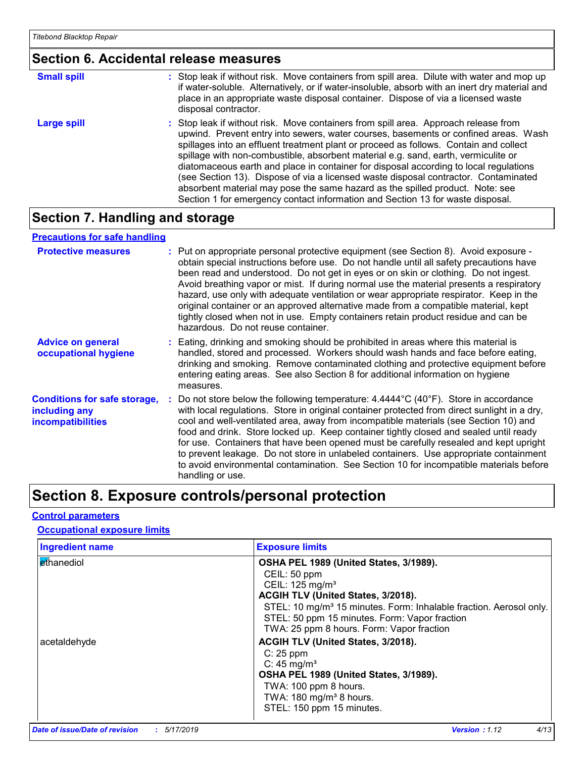### **Section 6. Accidental release measures**

| <b>Small spill</b> | : Stop leak if without risk. Move containers from spill area. Dilute with water and mop up<br>if water-soluble. Alternatively, or if water-insoluble, absorb with an inert dry material and<br>place in an appropriate waste disposal container. Dispose of via a licensed waste<br>disposal contractor.                                                                                                                                                                                                                                                                                                                                                                                                     |
|--------------------|--------------------------------------------------------------------------------------------------------------------------------------------------------------------------------------------------------------------------------------------------------------------------------------------------------------------------------------------------------------------------------------------------------------------------------------------------------------------------------------------------------------------------------------------------------------------------------------------------------------------------------------------------------------------------------------------------------------|
| <b>Large spill</b> | : Stop leak if without risk. Move containers from spill area. Approach release from<br>upwind. Prevent entry into sewers, water courses, basements or confined areas. Wash<br>spillages into an effluent treatment plant or proceed as follows. Contain and collect<br>spillage with non-combustible, absorbent material e.g. sand, earth, vermiculite or<br>diatomaceous earth and place in container for disposal according to local regulations<br>(see Section 13). Dispose of via a licensed waste disposal contractor. Contaminated<br>absorbent material may pose the same hazard as the spilled product. Note: see<br>Section 1 for emergency contact information and Section 13 for waste disposal. |

### **Section 7. Handling and storage**

#### **Precautions for safe handling**

| <b>Protective measures</b>                                                       | : Put on appropriate personal protective equipment (see Section 8). Avoid exposure -<br>obtain special instructions before use. Do not handle until all safety precautions have<br>been read and understood. Do not get in eyes or on skin or clothing. Do not ingest.<br>Avoid breathing vapor or mist. If during normal use the material presents a respiratory<br>hazard, use only with adequate ventilation or wear appropriate respirator. Keep in the<br>original container or an approved alternative made from a compatible material, kept<br>tightly closed when not in use. Empty containers retain product residue and can be<br>hazardous. Do not reuse container.        |
|----------------------------------------------------------------------------------|---------------------------------------------------------------------------------------------------------------------------------------------------------------------------------------------------------------------------------------------------------------------------------------------------------------------------------------------------------------------------------------------------------------------------------------------------------------------------------------------------------------------------------------------------------------------------------------------------------------------------------------------------------------------------------------|
| <b>Advice on general</b><br>occupational hygiene                                 | : Eating, drinking and smoking should be prohibited in areas where this material is<br>handled, stored and processed. Workers should wash hands and face before eating,<br>drinking and smoking. Remove contaminated clothing and protective equipment before<br>entering eating areas. See also Section 8 for additional information on hygiene<br>measures.                                                                                                                                                                                                                                                                                                                         |
| <b>Conditions for safe storage,</b><br>including any<br><b>incompatibilities</b> | : Do not store below the following temperature: $4.4444^{\circ}C(40^{\circ}F)$ . Store in accordance<br>with local regulations. Store in original container protected from direct sunlight in a dry,<br>cool and well-ventilated area, away from incompatible materials (see Section 10) and<br>food and drink. Store locked up. Keep container tightly closed and sealed until ready<br>for use. Containers that have been opened must be carefully resealed and kept upright<br>to prevent leakage. Do not store in unlabeled containers. Use appropriate containment<br>to avoid environmental contamination. See Section 10 for incompatible materials before<br>handling or use. |

### **Section 8. Exposure controls/personal protection**

#### **Control parameters**

#### **Occupational exposure limits**

| <b>Ingredient name</b> | <b>Exposure limits</b>                                                                                                                                                                                        |
|------------------------|---------------------------------------------------------------------------------------------------------------------------------------------------------------------------------------------------------------|
| ethanediol             | OSHA PEL 1989 (United States, 3/1989).<br>CEIL: 50 ppm<br>CEIL: 125 mg/m <sup>3</sup><br>ACGIH TLV (United States, 3/2018).<br>STEL: 10 mg/m <sup>3</sup> 15 minutes. Form: Inhalable fraction. Aerosol only. |
| acetaldehyde           | STEL: 50 ppm 15 minutes. Form: Vapor fraction<br>TWA: 25 ppm 8 hours. Form: Vapor fraction<br>ACGIH TLV (United States, 3/2018).<br>$C: 25$ ppm<br>C: $45 \text{ mg/m}^3$                                     |
|                        | OSHA PEL 1989 (United States, 3/1989).<br>TWA: 100 ppm 8 hours.<br>TWA: 180 mg/m <sup>3</sup> 8 hours.<br>STEL: 150 ppm 15 minutes.                                                                           |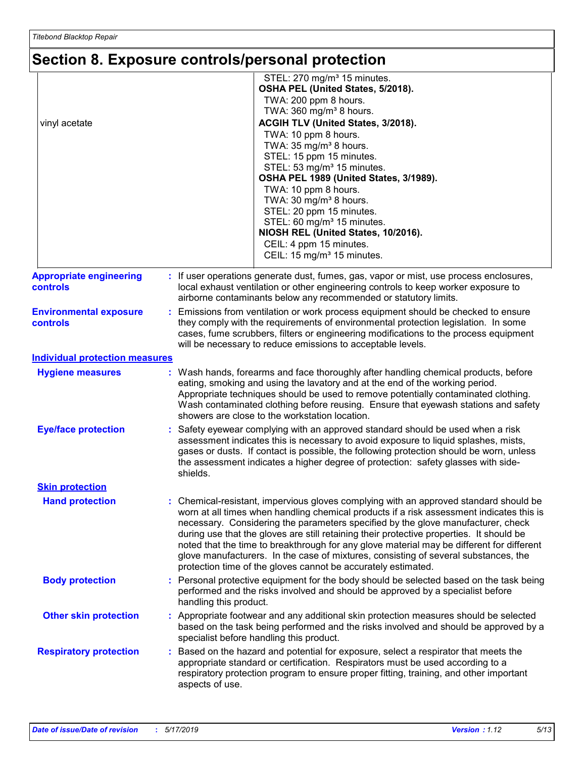### **Section 8. Exposure controls/personal protection**

| vinyl acetate                                     | STEL: 270 mg/m <sup>3</sup> 15 minutes.<br>OSHA PEL (United States, 5/2018).<br>TWA: 200 ppm 8 hours.<br>TWA: 360 mg/m <sup>3</sup> 8 hours.<br>ACGIH TLV (United States, 3/2018).<br>TWA: 10 ppm 8 hours.<br>TWA: 35 mg/m <sup>3</sup> 8 hours.<br>STEL: 15 ppm 15 minutes.<br>STEL: 53 mg/m <sup>3</sup> 15 minutes.<br>OSHA PEL 1989 (United States, 3/1989).<br>TWA: 10 ppm 8 hours.<br>TWA: 30 mg/m <sup>3</sup> 8 hours.<br>STEL: 20 ppm 15 minutes.<br>STEL: 60 mg/m <sup>3</sup> 15 minutes.<br>NIOSH REL (United States, 10/2016).<br>CEIL: 4 ppm 15 minutes.<br>CEIL: 15 mg/m <sup>3</sup> 15 minutes.     |
|---------------------------------------------------|----------------------------------------------------------------------------------------------------------------------------------------------------------------------------------------------------------------------------------------------------------------------------------------------------------------------------------------------------------------------------------------------------------------------------------------------------------------------------------------------------------------------------------------------------------------------------------------------------------------------|
| <b>Appropriate engineering</b><br><b>controls</b> | : If user operations generate dust, fumes, gas, vapor or mist, use process enclosures,<br>local exhaust ventilation or other engineering controls to keep worker exposure to<br>airborne contaminants below any recommended or statutory limits.                                                                                                                                                                                                                                                                                                                                                                     |
| <b>Environmental exposure</b><br>controls         | Emissions from ventilation or work process equipment should be checked to ensure<br>t.<br>they comply with the requirements of environmental protection legislation. In some<br>cases, fume scrubbers, filters or engineering modifications to the process equipment<br>will be necessary to reduce emissions to acceptable levels.                                                                                                                                                                                                                                                                                  |
| <b>Individual protection measures</b>             |                                                                                                                                                                                                                                                                                                                                                                                                                                                                                                                                                                                                                      |
| <b>Hygiene measures</b>                           | : Wash hands, forearms and face thoroughly after handling chemical products, before<br>eating, smoking and using the lavatory and at the end of the working period.<br>Appropriate techniques should be used to remove potentially contaminated clothing.<br>Wash contaminated clothing before reusing. Ensure that eyewash stations and safety<br>showers are close to the workstation location.                                                                                                                                                                                                                    |
| <b>Eye/face protection</b>                        | Safety eyewear complying with an approved standard should be used when a risk<br>assessment indicates this is necessary to avoid exposure to liquid splashes, mists,<br>gases or dusts. If contact is possible, the following protection should be worn, unless<br>the assessment indicates a higher degree of protection: safety glasses with side-<br>shields.                                                                                                                                                                                                                                                     |
| <b>Skin protection</b>                            |                                                                                                                                                                                                                                                                                                                                                                                                                                                                                                                                                                                                                      |
| <b>Hand protection</b>                            | Chemical-resistant, impervious gloves complying with an approved standard should be<br>worn at all times when handling chemical products if a risk assessment indicates this is<br>necessary. Considering the parameters specified by the glove manufacturer, check<br>during use that the gloves are still retaining their protective properties. It should be<br>noted that the time to breakthrough for any glove material may be different for different<br>glove manufacturers. In the case of mixtures, consisting of several substances, the<br>protection time of the gloves cannot be accurately estimated. |
| <b>Body protection</b>                            | : Personal protective equipment for the body should be selected based on the task being<br>performed and the risks involved and should be approved by a specialist before<br>handling this product.                                                                                                                                                                                                                                                                                                                                                                                                                  |
| <b>Other skin protection</b>                      | : Appropriate footwear and any additional skin protection measures should be selected<br>based on the task being performed and the risks involved and should be approved by a<br>specialist before handling this product.                                                                                                                                                                                                                                                                                                                                                                                            |
| <b>Respiratory protection</b>                     | : Based on the hazard and potential for exposure, select a respirator that meets the<br>appropriate standard or certification. Respirators must be used according to a<br>respiratory protection program to ensure proper fitting, training, and other important<br>aspects of use.                                                                                                                                                                                                                                                                                                                                  |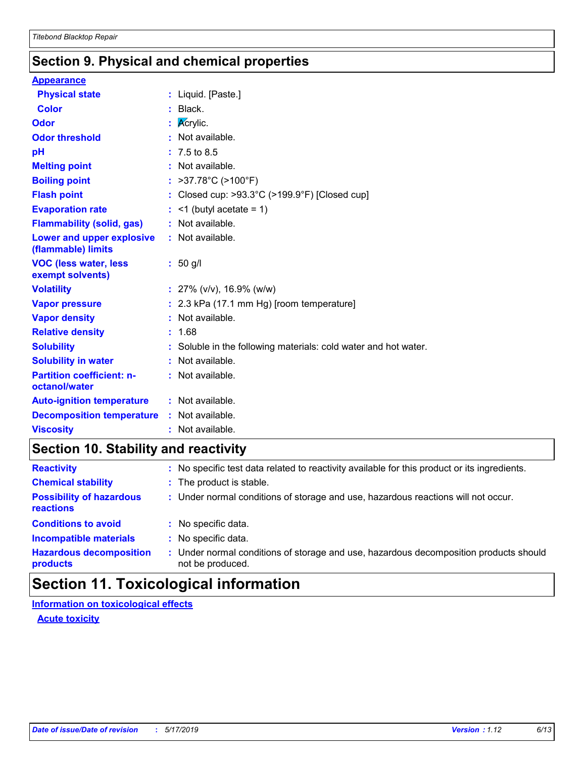### **Section 9. Physical and chemical properties**

#### **Appearance**

| <b>Physical state</b>                             | : Liquid. [Paste.]                                              |
|---------------------------------------------------|-----------------------------------------------------------------|
| <b>Color</b>                                      | $:$ Black.                                                      |
| <b>Odor</b>                                       | : $\overline{\mathsf{Ac}}$ rylic.                               |
| <b>Odor threshold</b>                             | : Not available.                                                |
| pH                                                | $: 7.5 \text{ to } 8.5$                                         |
| <b>Melting point</b>                              | : Not available.                                                |
| <b>Boiling point</b>                              | : >37.78°C (>100°F)                                             |
| <b>Flash point</b>                                | : Closed cup: >93.3°C (>199.9°F) [Closed cup]                   |
| <b>Evaporation rate</b>                           | $:$ <1 (butyl acetate = 1)                                      |
| <b>Flammability (solid, gas)</b>                  | : Not available.                                                |
| Lower and upper explosive<br>(flammable) limits   | : Not available.                                                |
| <b>VOC (less water, less)</b><br>exempt solvents) | $: 50$ g/l                                                      |
| <b>Volatility</b>                                 | : $27\%$ (v/v), 16.9% (w/w)                                     |
| <b>Vapor pressure</b>                             | $: 2.3$ kPa (17.1 mm Hg) [room temperature]                     |
| <b>Vapor density</b>                              | : Not available.                                                |
| <b>Relative density</b>                           | : 1.68                                                          |
| <b>Solubility</b>                                 | : Soluble in the following materials: cold water and hot water. |
| <b>Solubility in water</b>                        | : Not available.                                                |
| <b>Partition coefficient: n-</b><br>octanol/water | : Not available.                                                |
| <b>Auto-ignition temperature</b>                  | : Not available.                                                |
| <b>Decomposition temperature</b>                  | $:$ Not available.                                              |
| <b>Viscosity</b>                                  | : Not available.                                                |

### **Section 10. Stability and reactivity**

| <b>Reactivity</b>                            | : No specific test data related to reactivity available for this product or its ingredients.            |
|----------------------------------------------|---------------------------------------------------------------------------------------------------------|
| <b>Chemical stability</b>                    | : The product is stable.                                                                                |
| <b>Possibility of hazardous</b><br>reactions | : Under normal conditions of storage and use, hazardous reactions will not occur.                       |
| <b>Conditions to avoid</b>                   | : No specific data.                                                                                     |
| <b>Incompatible materials</b>                | No specific data.                                                                                       |
| <b>Hazardous decomposition</b><br>products   | Under normal conditions of storage and use, hazardous decomposition products should<br>not be produced. |

### **Section 11. Toxicological information**

**Information on toxicological effects**

**Acute toxicity**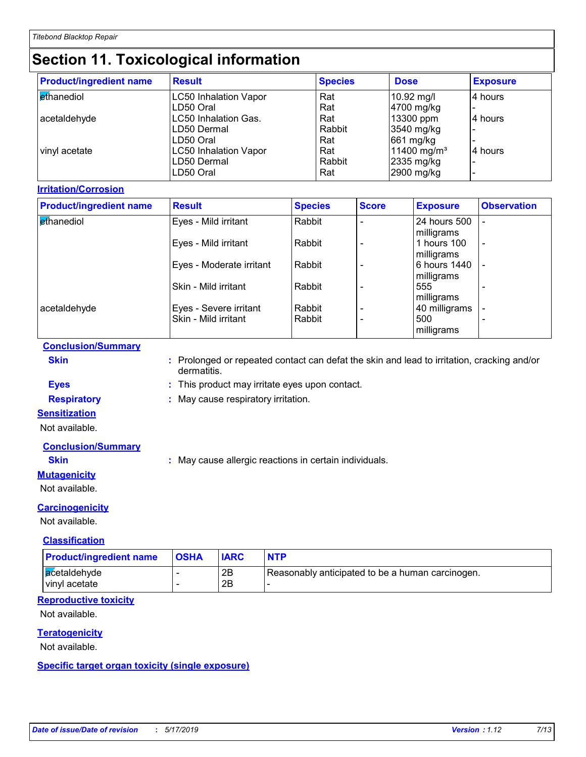### **Section 11. Toxicological information**

| <b>Product/ingredient name</b> | <b>Result</b>                | <b>Species</b> | <b>Dose</b>             | <b>Exposure</b> |
|--------------------------------|------------------------------|----------------|-------------------------|-----------------|
| ethanediol                     | <b>LC50 Inhalation Vapor</b> | Rat            | 10.92 mg/l              | 4 hours         |
|                                | LD50 Oral                    | Rat            | 4700 mg/kg              |                 |
| acetaldehyde                   | LC50 Inhalation Gas.         | Rat            | 13300 ppm               | 4 hours         |
|                                | ILD50 Dermal                 | Rabbit         | 3540 mg/kg              |                 |
|                                | LD50 Oral                    | Rat            | 661 mg/kg               |                 |
| vinyl acetate                  | <b>LC50 Inhalation Vapor</b> | Rat            | 11400 mg/m <sup>3</sup> | 4 hours         |
|                                | ILD50 Dermal                 | Rabbit         | 2335 mg/kg              |                 |
|                                | ILD50 Oral                   | Rat            | 2900 mg/kg              |                 |

#### **Irritation/Corrosion**

| <b>Product/ingredient name</b> | <b>Result</b>            | <b>Species</b> | <b>Score</b> | <b>Exposure</b>            | <b>Observation</b>       |
|--------------------------------|--------------------------|----------------|--------------|----------------------------|--------------------------|
| <b>Ethanediol</b>              | Eyes - Mild irritant     | Rabbit         |              | 24 hours 500<br>milligrams |                          |
|                                | Eyes - Mild irritant     | Rabbit         |              | 1 hours 100<br>milligrams  | $\overline{\phantom{a}}$ |
|                                | Eyes - Moderate irritant | Rabbit         |              | 6 hours 1440<br>milligrams |                          |
|                                | Skin - Mild irritant     | Rabbit         |              | 555<br>milligrams          |                          |
| acetaldehyde                   | Eyes - Severe irritant   | Rabbit         |              | 40 milligrams              |                          |
|                                | Skin - Mild irritant     | Rabbit         |              | 500<br>milligrams          | $\overline{\phantom{0}}$ |

#### **Conclusion/Summary**

| ×<br>. . | the contract of the contract of the contract of the contract of the contract of |  |
|----------|---------------------------------------------------------------------------------|--|

**Skin :** Prolonged or repeated contact can defat the skin and lead to irritation, cracking and/or dermatitis.

**Eyes :** This product may irritate eyes upon contact.

**Respiratory :** May cause respiratory irritation.

#### **Sensitization**

Not available.

#### **Conclusion/Summary**

**Skin :** May cause allergic reactions in certain individuals.

#### **Mutagenicity**

Not available.

#### **Carcinogenicity**

Not available.

#### **Classification**

| <b>Product/ingredient name</b> | <b>OSHA</b> | <b>IARC</b> | <b>NTP</b>                                       |
|--------------------------------|-------------|-------------|--------------------------------------------------|
| acetaldehyde<br>vinyl acetate  | -           | 2Β<br>2Β    | Reasonably anticipated to be a human carcinogen. |

#### **Reproductive toxicity**

Not available.

#### **Teratogenicity**

Not available.

**Specific target organ toxicity (single exposure)**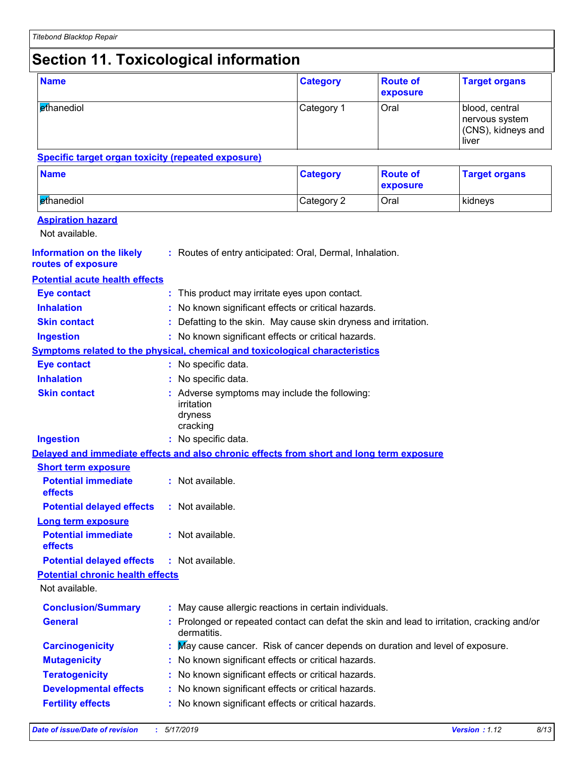### **Section 11. Toxicological information**

| <b>Name</b>                                                                              |  |                                                                                                         | <b>Category</b> | <b>Route of</b><br>exposure | <b>Target organs</b>                                            |
|------------------------------------------------------------------------------------------|--|---------------------------------------------------------------------------------------------------------|-----------------|-----------------------------|-----------------------------------------------------------------|
| ethanediol                                                                               |  |                                                                                                         | Category 1      | Oral                        | blood, central<br>nervous system<br>(CNS), kidneys and<br>liver |
| <b>Specific target organ toxicity (repeated exposure)</b>                                |  |                                                                                                         |                 |                             |                                                                 |
| <b>Name</b>                                                                              |  |                                                                                                         | <b>Category</b> | <b>Route of</b><br>exposure | <b>Target organs</b>                                            |
| ethanediol                                                                               |  |                                                                                                         | Category 2      | Oral                        | kidneys                                                         |
| <b>Aspiration hazard</b><br>Not available.                                               |  |                                                                                                         |                 |                             |                                                                 |
| <b>Information on the likely</b><br>routes of exposure                                   |  | : Routes of entry anticipated: Oral, Dermal, Inhalation.                                                |                 |                             |                                                                 |
| <b>Potential acute health effects</b>                                                    |  |                                                                                                         |                 |                             |                                                                 |
| <b>Eye contact</b>                                                                       |  | : This product may irritate eyes upon contact.                                                          |                 |                             |                                                                 |
| <b>Inhalation</b>                                                                        |  | No known significant effects or critical hazards.                                                       |                 |                             |                                                                 |
| <b>Skin contact</b>                                                                      |  | Defatting to the skin. May cause skin dryness and irritation.                                           |                 |                             |                                                                 |
| : No known significant effects or critical hazards.<br><b>Ingestion</b>                  |  |                                                                                                         |                 |                             |                                                                 |
| <b>Symptoms related to the physical, chemical and toxicological characteristics</b>      |  |                                                                                                         |                 |                             |                                                                 |
| <b>Eye contact</b>                                                                       |  | : No specific data.                                                                                     |                 |                             |                                                                 |
| <b>Inhalation</b>                                                                        |  | No specific data.                                                                                       |                 |                             |                                                                 |
| <b>Skin contact</b>                                                                      |  | Adverse symptoms may include the following:<br>irritation<br>dryness<br>cracking                        |                 |                             |                                                                 |
| <b>Ingestion</b>                                                                         |  | : No specific data.                                                                                     |                 |                             |                                                                 |
| Delayed and immediate effects and also chronic effects from short and long term exposure |  |                                                                                                         |                 |                             |                                                                 |
| <b>Short term exposure</b>                                                               |  |                                                                                                         |                 |                             |                                                                 |
| <b>Potential immediate</b><br>effects                                                    |  | : Not available.                                                                                        |                 |                             |                                                                 |
| <b>Potential delayed effects</b>                                                         |  | : Not available.                                                                                        |                 |                             |                                                                 |
| Long term exposure<br><b>Potential immediate</b><br>effects                              |  | : Not available.                                                                                        |                 |                             |                                                                 |
| <b>Potential delayed effects</b>                                                         |  | : Not available.                                                                                        |                 |                             |                                                                 |
| <b>Potential chronic health effects</b><br>Not available.                                |  |                                                                                                         |                 |                             |                                                                 |
| <b>Conclusion/Summary</b>                                                                |  | May cause allergic reactions in certain individuals.                                                    |                 |                             |                                                                 |
| <b>General</b>                                                                           |  | Prolonged or repeated contact can defat the skin and lead to irritation, cracking and/or<br>dermatitis. |                 |                             |                                                                 |
| <b>Carcinogenicity</b>                                                                   |  | May cause cancer. Risk of cancer depends on duration and level of exposure.                             |                 |                             |                                                                 |
| <b>Mutagenicity</b>                                                                      |  | No known significant effects or critical hazards.                                                       |                 |                             |                                                                 |
| <b>Teratogenicity</b>                                                                    |  | No known significant effects or critical hazards.                                                       |                 |                             |                                                                 |
| <b>Developmental effects</b>                                                             |  | No known significant effects or critical hazards.                                                       |                 |                             |                                                                 |
| <b>Fertility effects</b>                                                                 |  | No known significant effects or critical hazards.                                                       |                 |                             |                                                                 |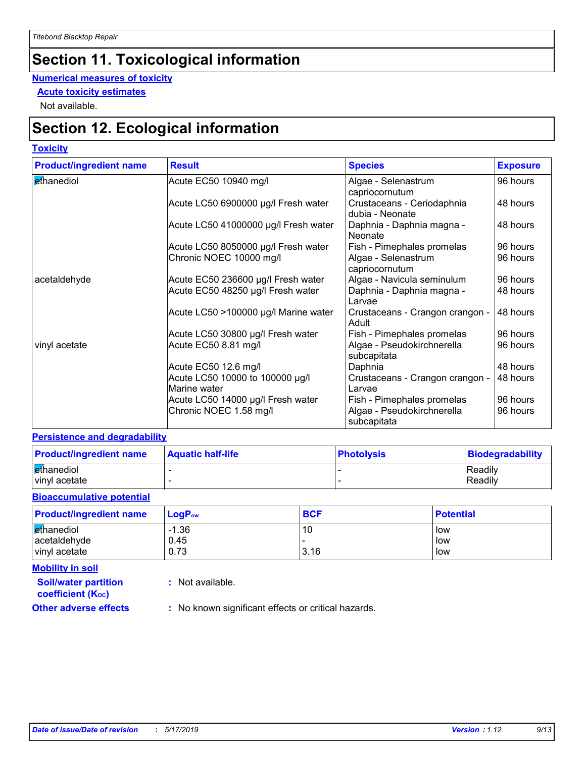### **Section 11. Toxicological information**

#### **Numerical measures of toxicity**

**Acute toxicity estimates**

Not available.

### **Section 12. Ecological information**

#### **Toxicity**

| <b>Product/ingredient name</b> | <b>Result</b>                                   | <b>Species</b>                                | <b>Exposure</b> |
|--------------------------------|-------------------------------------------------|-----------------------------------------------|-----------------|
| ethanediol                     | Acute EC50 10940 mg/l                           | Algae - Selenastrum<br>capriocornutum         | 96 hours        |
|                                | Acute LC50 6900000 µg/l Fresh water             | Crustaceans - Ceriodaphnia<br>dubia - Neonate | 48 hours        |
|                                | Acute LC50 41000000 µg/l Fresh water            | Daphnia - Daphnia magna -<br>Neonate          | 48 hours        |
|                                | Acute LC50 8050000 µg/l Fresh water             | Fish - Pimephales promelas                    | 96 hours        |
|                                | Chronic NOEC 10000 mg/l                         | Algae - Selenastrum<br>capriocornutum         | 96 hours        |
| acetaldehyde                   | Acute EC50 236600 µg/l Fresh water              | Algae - Navicula seminulum                    | 96 hours        |
|                                | Acute EC50 48250 µg/l Fresh water               | Daphnia - Daphnia magna -<br>l Larvae         | 48 hours        |
|                                | Acute LC50 >100000 µg/l Marine water            | Crustaceans - Crangon crangon -<br>Adult      | 48 hours        |
|                                | Acute LC50 30800 µg/l Fresh water               | Fish - Pimephales promelas                    | 96 hours        |
| vinyl acetate                  | Acute EC50 8.81 mg/l                            | Algae - Pseudokirchnerella<br>subcapitata     | 96 hours        |
|                                | Acute EC50 12.6 mg/l                            | Daphnia                                       | 48 hours        |
|                                | Acute LC50 10000 to 100000 µg/l<br>Marine water | Crustaceans - Crangon crangon -<br>Larvae     | 48 hours        |
|                                | Acute LC50 14000 µg/l Fresh water               | Fish - Pimephales promelas                    | 96 hours        |
|                                | Chronic NOEC 1.58 mg/l                          | Algae - Pseudokirchnerella<br>subcapitata     | 96 hours        |

#### **Persistence and degradability**

| <b>Product/ingredient name</b> | <b>Aquatic half-life</b> | <b>Photolysis</b> | Biodegradability |
|--------------------------------|--------------------------|-------------------|------------------|
| ethanediol                     |                          |                   | Readily          |
| vinyl acetate                  |                          |                   | Readily          |

#### **Bioaccumulative potential**

| <b>Product/ingredient name</b> | $LogP_{ow}$ | <b>BCF</b> | <b>Potential</b> |
|--------------------------------|-------------|------------|------------------|
| ethanediol                     | $-1.36$     | 10         | low              |
| acetaldehyde                   | 0.45        |            | low              |
| vinyl acetate                  | 0.73        | 3.16       | low              |

**Mobility in soil**

**:** Not available.

**coefficient (KOC)**

**Soil/water partition** 

**Other adverse effects** : No known significant effects or critical hazards.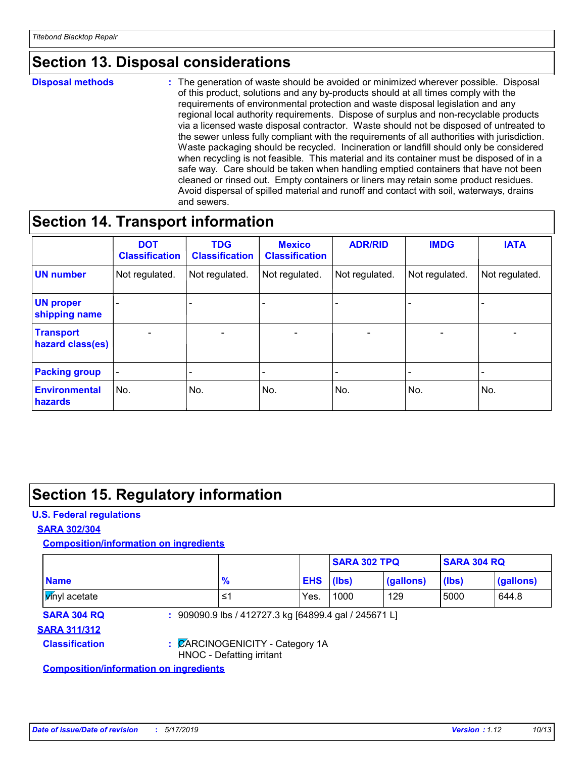### **Section 13. Disposal considerations**

**Disposal methods :**

The generation of waste should be avoided or minimized wherever possible. Disposal of this product, solutions and any by-products should at all times comply with the requirements of environmental protection and waste disposal legislation and any regional local authority requirements. Dispose of surplus and non-recyclable products via a licensed waste disposal contractor. Waste should not be disposed of untreated to the sewer unless fully compliant with the requirements of all authorities with jurisdiction. Waste packaging should be recycled. Incineration or landfill should only be considered when recycling is not feasible. This material and its container must be disposed of in a safe way. Care should be taken when handling emptied containers that have not been cleaned or rinsed out. Empty containers or liners may retain some product residues. Avoid dispersal of spilled material and runoff and contact with soil, waterways, drains and sewers.

### **Section 14. Transport information**

|                                      | <b>DOT</b><br><b>Classification</b> | <b>TDG</b><br><b>Classification</b> | <b>Mexico</b><br><b>Classification</b> | <b>ADR/RID</b>           | <b>IMDG</b>     | <b>IATA</b>              |
|--------------------------------------|-------------------------------------|-------------------------------------|----------------------------------------|--------------------------|-----------------|--------------------------|
| <b>UN number</b>                     | Not regulated.                      | Not regulated.                      | Not regulated.                         | Not regulated.           | Not regulated.  | Not regulated.           |
| <b>UN proper</b><br>shipping name    |                                     |                                     |                                        |                          |                 |                          |
| <b>Transport</b><br>hazard class(es) | $\overline{\phantom{0}}$            | $\overline{\phantom{0}}$            | $\overline{\phantom{a}}$               | $\overline{\phantom{a}}$ | $\qquad \qquad$ | $\overline{\phantom{0}}$ |
| <b>Packing group</b>                 | $\qquad \qquad \blacksquare$        |                                     |                                        |                          |                 |                          |
| <b>Environmental</b><br>hazards      | No.                                 | No.                                 | No.                                    | No.                      | No.             | No.                      |

### **Section 15. Regulatory information**

#### **U.S. Federal regulations**

#### **SARA 302/304**

**Composition/information on ingredients**

|                                               |                           |                                                       | <b>SARA 302 TPQ</b> |           | <b>SARA 304 RQ</b> |           |
|-----------------------------------------------|---------------------------|-------------------------------------------------------|---------------------|-----------|--------------------|-----------|
| <b>Name</b>                                   | $\frac{9}{6}$             |                                                       | <b>EHS</b><br>(lbs) | (gallons) | (lbs)              | (gallons) |
| <b>Vinyl</b> acetate                          | 1≥                        | Yes.                                                  | 1000                | 129       | 5000               | 644.8     |
| <b>SARA 304 RQ</b>                            |                           | : 909090.9 lbs / 412727.3 kg [64899.4 gal / 245671 L] |                     |           |                    |           |
| <b>SARA 311/312</b>                           |                           |                                                       |                     |           |                    |           |
| <b>Classification</b>                         | HNOC - Defatting irritant | : CARCINOGENICITY - Category 1A                       |                     |           |                    |           |
| <b>Composition/information on ingredients</b> |                           |                                                       |                     |           |                    |           |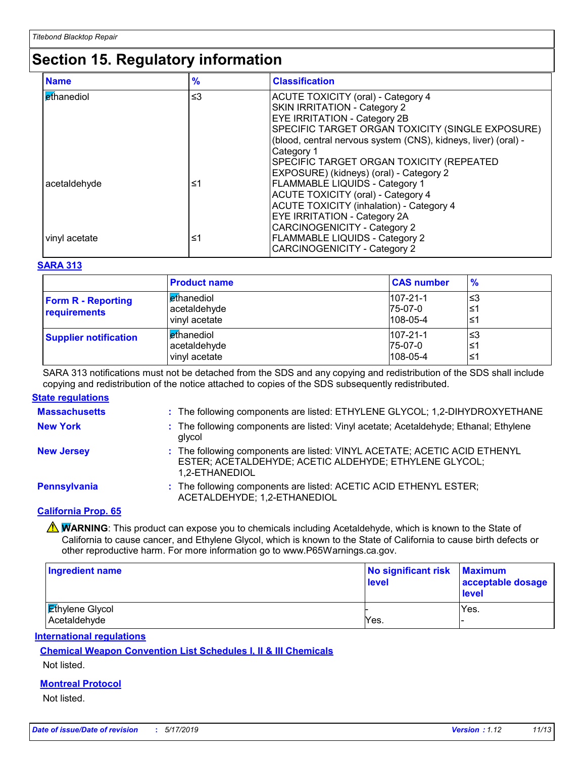### **Section 15. Regulatory information**

| <b>Name</b>   | $\frac{9}{6}$ | <b>Classification</b>                                                      |
|---------------|---------------|----------------------------------------------------------------------------|
| Ethanediol    | $\leq$ 3      | <b>ACUTE TOXICITY (oral) - Category 4</b>                                  |
|               |               | <b>SKIN IRRITATION - Category 2</b><br><b>EYE IRRITATION - Category 2B</b> |
|               |               | SPECIFIC TARGET ORGAN TOXICITY (SINGLE EXPOSURE)                           |
|               |               | (blood, central nervous system (CNS), kidneys, liver) (oral) -             |
|               |               | Category 1                                                                 |
|               |               | SPECIFIC TARGET ORGAN TOXICITY (REPEATED                                   |
|               |               | EXPOSURE) (kidneys) (oral) - Category 2                                    |
| acetaldehyde  | ≤1            | <b>FLAMMABLE LIQUIDS - Category 1</b>                                      |
|               |               | <b>ACUTE TOXICITY (oral) - Category 4</b>                                  |
|               |               | <b>ACUTE TOXICITY (inhalation) - Category 4</b>                            |
|               |               | <b>EYE IRRITATION - Category 2A</b>                                        |
|               |               | <b>CARCINOGENICITY - Category 2</b>                                        |
| vinyl acetate | ≤1            | FLAMMABLE LIQUIDS - Category 2                                             |
|               |               | <b>CARCINOGENICITY - Category 2</b>                                        |

#### **SARA 313**

|                                           | <b>Product name</b>                                | <b>CAS number</b>                             | $\frac{9}{6}$    |
|-------------------------------------------|----------------------------------------------------|-----------------------------------------------|------------------|
| <b>Form R - Reporting</b><br>requirements | <b>ethanediol</b><br>acetaldehyde<br>vinyl acetate | $ 107 - 21 - 1 $<br>75-07-0<br>$108 - 05 - 4$ | l≤3<br>≤1<br>'≤1 |
| <b>Supplier notification</b>              | <b>Ethanediol</b><br>acetaldehyde<br>vinyl acetate | $107 - 21 - 1$<br>$I75-07-0$<br>108-05-4      | צ≥ا<br>≤1<br>≤1  |

SARA 313 notifications must not be detached from the SDS and any copying and redistribution of the SDS shall include copying and redistribution of the notice attached to copies of the SDS subsequently redistributed.

#### **State regulations**

| <b>Massachusetts</b> | : The following components are listed: ETHYLENE GLYCOL; 1,2-DIHYDROXYETHANE                                                                           |
|----------------------|-------------------------------------------------------------------------------------------------------------------------------------------------------|
| <b>New York</b>      | : The following components are listed: Vinyl acetate; Acetaldehyde; Ethanal; Ethylene<br>glycol                                                       |
| <b>New Jersey</b>    | : The following components are listed: VINYL ACETATE; ACETIC ACID ETHENYL<br>ESTER; ACETALDEHYDE; ACETIC ALDEHYDE; ETHYLENE GLYCOL;<br>1,2-ETHANEDIOL |
| <b>Pennsylvania</b>  | : The following components are listed: ACETIC ACID ETHENYL ESTER;<br>ACETALDEHYDE; 1,2-ETHANEDIOL                                                     |

#### **California Prop. 65**

**A WARNING**: This product can expose you to chemicals including Acetaldehyde, which is known to the State of California to cause cancer, and Ethylene Glycol, which is known to the State of California to cause birth defects or other reproductive harm. For more information go to www.P65Warnings.ca.gov.

| Ingredient name                        | No significant risk<br>level | <b>Maximum</b><br>acceptable dosage<br><b>level</b> |
|----------------------------------------|------------------------------|-----------------------------------------------------|
| <b>Ethylene Glycol</b><br>Acetaldehyde | Yes.                         | Yes.                                                |

#### **International regulations**

**Chemical Weapon Convention List Schedules I, II & III Chemicals**

Not listed.

#### **Montreal Protocol**

Not listed.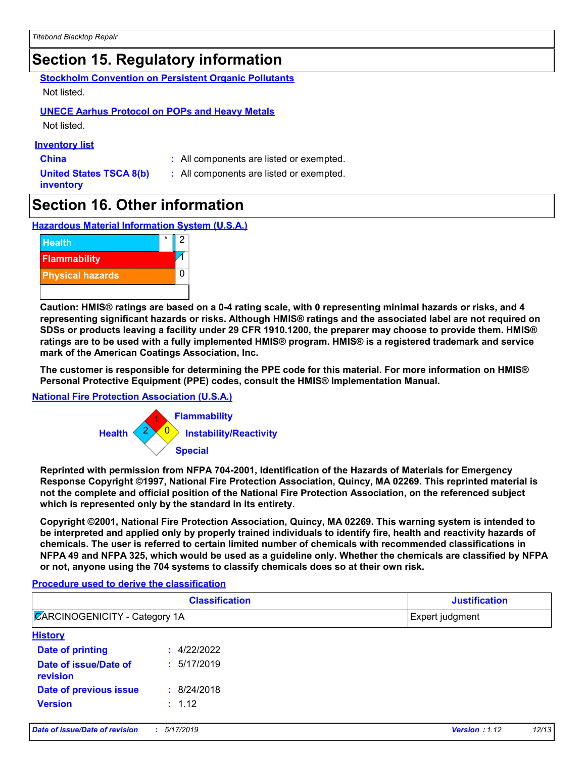### **Section 15. Regulatory information**

**Stockholm Convention on Persistent Organic Pollutants** Not listed.

#### **UNECE Aarhus Protocol on POPs and Heavy Metals**

Not listed.

#### **Inventory list**

- 
- **China :** All components are listed or exempted.
- **United States TSCA 8(b) inventory**
- 
- **:** All components are listed or exempted.

### **Section 16. Other information**

**Hazardous Material Information System (U.S.A.)**



**Caution: HMIS® ratings are based on a 0-4 rating scale, with 0 representing minimal hazards or risks, and 4 representing significant hazards or risks. Although HMIS® ratings and the associated label are not required on SDSs or products leaving a facility under 29 CFR 1910.1200, the preparer may choose to provide them. HMIS® ratings are to be used with a fully implemented HMIS® program. HMIS® is a registered trademark and service mark of the American Coatings Association, Inc.**

**The customer is responsible for determining the PPE code for this material. For more information on HMIS® Personal Protective Equipment (PPE) codes, consult the HMIS® Implementation Manual.**

#### **National Fire Protection Association (U.S.A.)**



**Reprinted with permission from NFPA 704-2001, Identification of the Hazards of Materials for Emergency Response Copyright ©1997, National Fire Protection Association, Quincy, MA 02269. This reprinted material is not the complete and official position of the National Fire Protection Association, on the referenced subject which is represented only by the standard in its entirety.**

**Copyright ©2001, National Fire Protection Association, Quincy, MA 02269. This warning system is intended to be interpreted and applied only by properly trained individuals to identify fire, health and reactivity hazards of chemicals. The user is referred to certain limited number of chemicals with recommended classifications in NFPA 49 and NFPA 325, which would be used as a guideline only. Whether the chemicals are classified by NFPA or not, anyone using the 704 systems to classify chemicals does so at their own risk.**

#### **Procedure used to derive the classification**

| <b>Classification</b><br><b>ZARCINOGENICITY - Category 1A</b> |             | <b>Justification</b> |  |
|---------------------------------------------------------------|-------------|----------------------|--|
|                                                               |             | Expert judgment      |  |
| <b>History</b>                                                |             |                      |  |
| Date of printing                                              | : 4/22/2022 |                      |  |
| Date of issue/Date of<br>revision                             | : 5/17/2019 |                      |  |
| Date of previous issue                                        | : 8/24/2018 |                      |  |
| <b>Version</b>                                                | : 1.12      |                      |  |
|                                                               |             |                      |  |